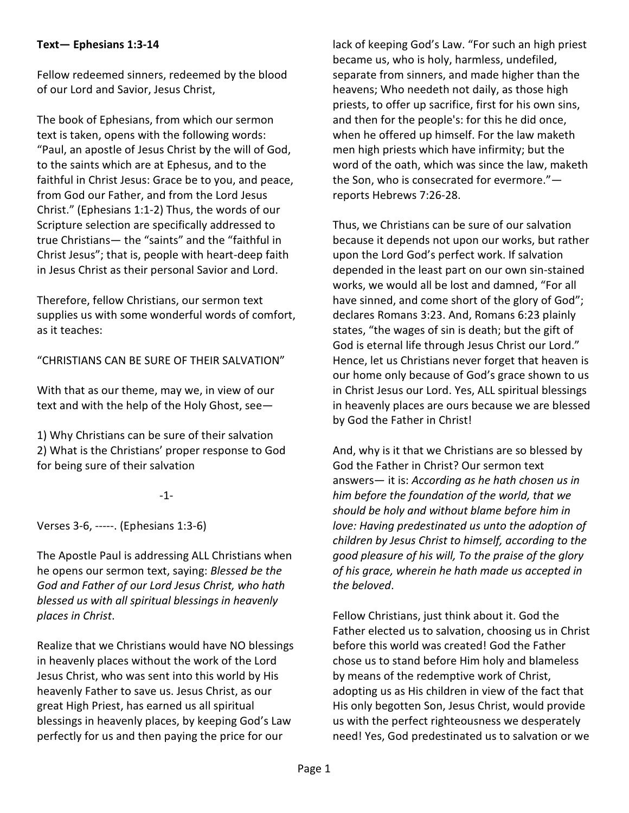## **Text— Ephesians 1:3-14**

Fellow redeemed sinners, redeemed by the blood of our Lord and Savior, Jesus Christ,

The book of Ephesians, from which our sermon text is taken, opens with the following words: "Paul, an apostle of Jesus Christ by the will of God, to the saints which are at Ephesus, and to the faithful in Christ Jesus: Grace be to you, and peace, from God our Father, and from the Lord Jesus Christ." (Ephesians 1:1-2) Thus, the words of our Scripture selection are specifically addressed to true Christians— the "saints" and the "faithful in Christ Jesus"; that is, people with heart-deep faith in Jesus Christ as their personal Savior and Lord.

Therefore, fellow Christians, our sermon text supplies us with some wonderful words of comfort, as it teaches:

"CHRISTIANS CAN BE SURE OF THEIR SALVATION"

With that as our theme, may we, in view of our text and with the help of the Holy Ghost, see—

1) Why Christians can be sure of their salvation 2) What is the Christians' proper response to God for being sure of their salvation

-1-

Verses 3-6, -----. (Ephesians 1:3-6)

The Apostle Paul is addressing ALL Christians when he opens our sermon text, saying: *Blessed be the God and Father of our Lord Jesus Christ, who hath blessed us with all spiritual blessings in heavenly places in Christ*.

Realize that we Christians would have NO blessings in heavenly places without the work of the Lord Jesus Christ, who was sent into this world by His heavenly Father to save us. Jesus Christ, as our great High Priest, has earned us all spiritual blessings in heavenly places, by keeping God's Law perfectly for us and then paying the price for our

lack of keeping God's Law. "For such an high priest became us, who is holy, harmless, undefiled, separate from sinners, and made higher than the heavens; Who needeth not daily, as those high priests, to offer up sacrifice, first for his own sins, and then for the people's: for this he did once, when he offered up himself. For the law maketh men high priests which have infirmity; but the word of the oath, which was since the law, maketh the Son, who is consecrated for evermore." reports Hebrews 7:26-28.

Thus, we Christians can be sure of our salvation because it depends not upon our works, but rather upon the Lord God's perfect work. If salvation depended in the least part on our own sin-stained works, we would all be lost and damned, "For all have sinned, and come short of the glory of God"; declares Romans 3:23. And, Romans 6:23 plainly states, "the wages of sin is death; but the gift of God is eternal life through Jesus Christ our Lord." Hence, let us Christians never forget that heaven is our home only because of God's grace shown to us in Christ Jesus our Lord. Yes, ALL spiritual blessings in heavenly places are ours because we are blessed by God the Father in Christ!

And, why is it that we Christians are so blessed by God the Father in Christ? Our sermon text answers— it is: *According as he hath chosen us in him before the foundation of the world, that we should be holy and without blame before him in love: Having predestinated us unto the adoption of children by Jesus Christ to himself, according to the good pleasure of his will, To the praise of the glory of his grace, wherein he hath made us accepted in the beloved*.

Fellow Christians, just think about it. God the Father elected us to salvation, choosing us in Christ before this world was created! God the Father chose us to stand before Him holy and blameless by means of the redemptive work of Christ, adopting us as His children in view of the fact that His only begotten Son, Jesus Christ, would provide us with the perfect righteousness we desperately need! Yes, God predestinated us to salvation or we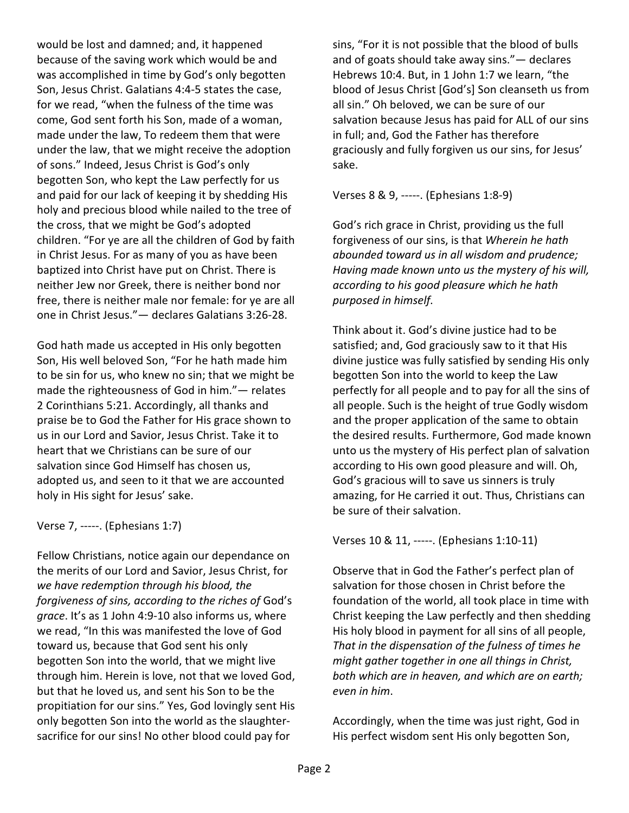would be lost and damned; and, it happened because of the saving work which would be and was accomplished in time by God's only begotten Son, Jesus Christ. Galatians 4:4-5 states the case, for we read, "when the fulness of the time was come, God sent forth his Son, made of a woman, made under the law, To redeem them that were under the law, that we might receive the adoption of sons." Indeed, Jesus Christ is God's only begotten Son, who kept the Law perfectly for us and paid for our lack of keeping it by shedding His holy and precious blood while nailed to the tree of the cross, that we might be God's adopted children. "For ye are all the children of God by faith in Christ Jesus. For as many of you as have been baptized into Christ have put on Christ. There is neither Jew nor Greek, there is neither bond nor free, there is neither male nor female: for ye are all one in Christ Jesus."— declares Galatians 3:26-28.

God hath made us accepted in His only begotten Son, His well beloved Son, "For he hath made him to be sin for us, who knew no sin; that we might be made the righteousness of God in him."— relates 2 Corinthians 5:21. Accordingly, all thanks and praise be to God the Father for His grace shown to us in our Lord and Savior, Jesus Christ. Take it to heart that we Christians can be sure of our salvation since God Himself has chosen us, adopted us, and seen to it that we are accounted holy in His sight for Jesus' sake.

Verse 7, -----. (Ephesians 1:7)

Fellow Christians, notice again our dependance on the merits of our Lord and Savior, Jesus Christ, for *we have redemption through his blood, the forgiveness of sins, according to the riches of* God's *grace*. It's as 1 John 4:9-10 also informs us, where we read, "In this was manifested the love of God toward us, because that God sent his only begotten Son into the world, that we might live through him. Herein is love, not that we loved God, but that he loved us, and sent his Son to be the propitiation for our sins." Yes, God lovingly sent His only begotten Son into the world as the slaughtersacrifice for our sins! No other blood could pay for

sins, "For it is not possible that the blood of bulls and of goats should take away sins."— declares Hebrews 10:4. But, in 1 John 1:7 we learn, "the blood of Jesus Christ [God's] Son cleanseth us from all sin." Oh beloved, we can be sure of our salvation because Jesus has paid for ALL of our sins in full; and, God the Father has therefore graciously and fully forgiven us our sins, for Jesus' sake.

Verses 8 & 9, -----. (Ephesians 1:8-9)

God's rich grace in Christ, providing us the full forgiveness of our sins, is that *Wherein he hath abounded toward us in all wisdom and prudence; Having made known unto us the mystery of his will, according to his good pleasure which he hath purposed in himself*.

Think about it. God's divine justice had to be satisfied; and, God graciously saw to it that His divine justice was fully satisfied by sending His only begotten Son into the world to keep the Law perfectly for all people and to pay for all the sins of all people. Such is the height of true Godly wisdom and the proper application of the same to obtain the desired results. Furthermore, God made known unto us the mystery of His perfect plan of salvation according to His own good pleasure and will. Oh, God's gracious will to save us sinners is truly amazing, for He carried it out. Thus, Christians can be sure of their salvation.

Verses 10 & 11, -----. (Ephesians 1:10-11)

Observe that in God the Father's perfect plan of salvation for those chosen in Christ before the foundation of the world, all took place in time with Christ keeping the Law perfectly and then shedding His holy blood in payment for all sins of all people, *That in the dispensation of the fulness of times he might gather together in one all things in Christ, both which are in heaven, and which are on earth; even in him*.

Accordingly, when the time was just right, God in His perfect wisdom sent His only begotten Son,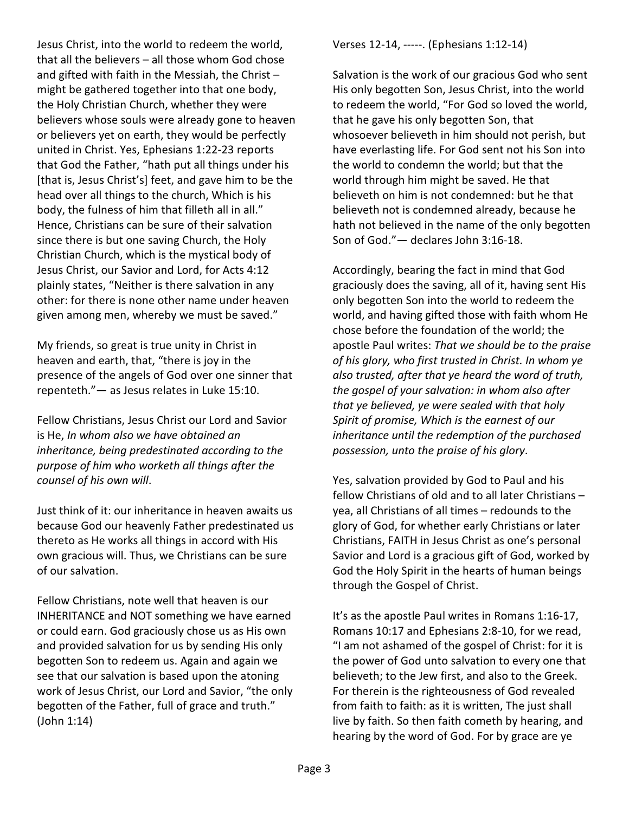Jesus Christ, into the world to redeem the world, that all the believers – all those whom God chose and gifted with faith in the Messiah, the Christ – might be gathered together into that one body, the Holy Christian Church, whether they were believers whose souls were already gone to heaven or believers yet on earth, they would be perfectly united in Christ. Yes, Ephesians 1:22-23 reports that God the Father, "hath put all things under his [that is, Jesus Christ's] feet, and gave him to be the head over all things to the church, Which is his body, the fulness of him that filleth all in all." Hence, Christians can be sure of their salvation since there is but one saving Church, the Holy Christian Church, which is the mystical body of Jesus Christ, our Savior and Lord, for Acts 4:12 plainly states, "Neither is there salvation in any other: for there is none other name under heaven given among men, whereby we must be saved."

My friends, so great is true unity in Christ in heaven and earth, that, "there is joy in the presence of the angels of God over one sinner that repenteth."— as Jesus relates in Luke 15:10.

Fellow Christians, Jesus Christ our Lord and Savior is He, *In whom also we have obtained an inheritance, being predestinated according to the purpose of him who worketh all things after the counsel of his own will*.

Just think of it: our inheritance in heaven awaits us because God our heavenly Father predestinated us thereto as He works all things in accord with His own gracious will. Thus, we Christians can be sure of our salvation.

Fellow Christians, note well that heaven is our INHERITANCE and NOT something we have earned or could earn. God graciously chose us as His own and provided salvation for us by sending His only begotten Son to redeem us. Again and again we see that our salvation is based upon the atoning work of Jesus Christ, our Lord and Savior, "the only begotten of the Father, full of grace and truth." (John 1:14)

Verses 12-14, -----. (Ephesians 1:12-14)

Salvation is the work of our gracious God who sent His only begotten Son, Jesus Christ, into the world to redeem the world, "For God so loved the world, that he gave his only begotten Son, that whosoever believeth in him should not perish, but have everlasting life. For God sent not his Son into the world to condemn the world; but that the world through him might be saved. He that believeth on him is not condemned: but he that believeth not is condemned already, because he hath not believed in the name of the only begotten Son of God."— declares John 3:16-18.

Accordingly, bearing the fact in mind that God graciously does the saving, all of it, having sent His only begotten Son into the world to redeem the world, and having gifted those with faith whom He chose before the foundation of the world; the apostle Paul writes: *That we should be to the praise of his glory, who first trusted in Christ. In whom ye also trusted, after that ye heard the word of truth, the gospel of your salvation: in whom also after that ye believed, ye were sealed with that holy Spirit of promise, Which is the earnest of our inheritance until the redemption of the purchased possession, unto the praise of his glory*.

Yes, salvation provided by God to Paul and his fellow Christians of old and to all later Christians – yea, all Christians of all times – redounds to the glory of God, for whether early Christians or later Christians, FAITH in Jesus Christ as one's personal Savior and Lord is a gracious gift of God, worked by God the Holy Spirit in the hearts of human beings through the Gospel of Christ.

It's as the apostle Paul writes in Romans 1:16-17, Romans 10:17 and Ephesians 2:8-10, for we read, "I am not ashamed of the gospel of Christ: for it is the power of God unto salvation to every one that believeth; to the Jew first, and also to the Greek. For therein is the righteousness of God revealed from faith to faith: as it is written, The just shall live by faith. So then faith cometh by hearing, and hearing by the word of God. For by grace are ye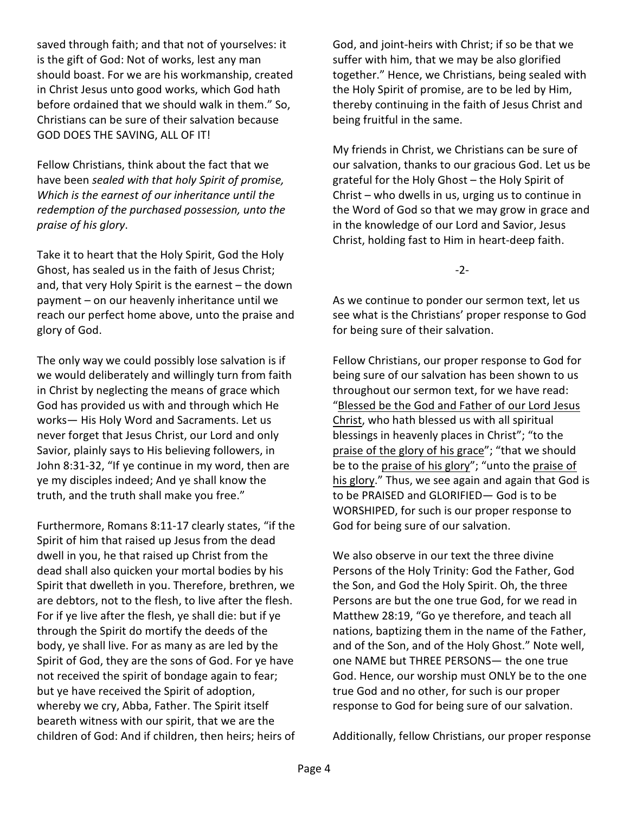saved through faith; and that not of yourselves: it is the gift of God: Not of works, lest any man should boast. For we are his workmanship, created in Christ Jesus unto good works, which God hath before ordained that we should walk in them." So, Christians can be sure of their salvation because GOD DOES THE SAVING, ALL OF IT!

Fellow Christians, think about the fact that we have been *sealed with that holy Spirit of promise, Which is the earnest of our inheritance until the redemption of the purchased possession, unto the praise of his glory*.

Take it to heart that the Holy Spirit, God the Holy Ghost, has sealed us in the faith of Jesus Christ; and, that very Holy Spirit is the earnest – the down payment – on our heavenly inheritance until we reach our perfect home above, unto the praise and glory of God.

The only way we could possibly lose salvation is if we would deliberately and willingly turn from faith in Christ by neglecting the means of grace which God has provided us with and through which He works— His Holy Word and Sacraments. Let us never forget that Jesus Christ, our Lord and only Savior, plainly says to His believing followers, in John 8:31-32, "If ye continue in my word, then are ye my disciples indeed; And ye shall know the truth, and the truth shall make you free."

Furthermore, Romans 8:11-17 clearly states, "if the Spirit of him that raised up Jesus from the dead dwell in you, he that raised up Christ from the dead shall also quicken your mortal bodies by his Spirit that dwelleth in you. Therefore, brethren, we are debtors, not to the flesh, to live after the flesh. For if ye live after the flesh, ye shall die: but if ye through the Spirit do mortify the deeds of the body, ye shall live. For as many as are led by the Spirit of God, they are the sons of God. For ye have not received the spirit of bondage again to fear; but ye have received the Spirit of adoption, whereby we cry, Abba, Father. The Spirit itself beareth witness with our spirit, that we are the children of God: And if children, then heirs; heirs of God, and joint-heirs with Christ; if so be that we suffer with him, that we may be also glorified together." Hence, we Christians, being sealed with the Holy Spirit of promise, are to be led by Him, thereby continuing in the faith of Jesus Christ and being fruitful in the same.

My friends in Christ, we Christians can be sure of our salvation, thanks to our gracious God. Let us be grateful for the Holy Ghost – the Holy Spirit of Christ – who dwells in us, urging us to continue in the Word of God so that we may grow in grace and in the knowledge of our Lord and Savior, Jesus Christ, holding fast to Him in heart-deep faith.

-2-

As we continue to ponder our sermon text, let us see what is the Christians' proper response to God for being sure of their salvation.

Fellow Christians, our proper response to God for being sure of our salvation has been shown to us throughout our sermon text, for we have read: "Blessed be the God and Father of our Lord Jesus Christ, who hath blessed us with all spiritual blessings in heavenly places in Christ"; "to the praise of the glory of his grace"; "that we should be to the praise of his glory"; "unto the praise of his glory." Thus, we see again and again that God is to be PRAISED and GLORIFIED— God is to be WORSHIPED, for such is our proper response to God for being sure of our salvation.

We also observe in our text the three divine Persons of the Holy Trinity: God the Father, God the Son, and God the Holy Spirit. Oh, the three Persons are but the one true God, for we read in Matthew 28:19, "Go ye therefore, and teach all nations, baptizing them in the name of the Father, and of the Son, and of the Holy Ghost." Note well, one NAME but THREE PERSONS— the one true God. Hence, our worship must ONLY be to the one true God and no other, for such is our proper response to God for being sure of our salvation.

Additionally, fellow Christians, our proper response